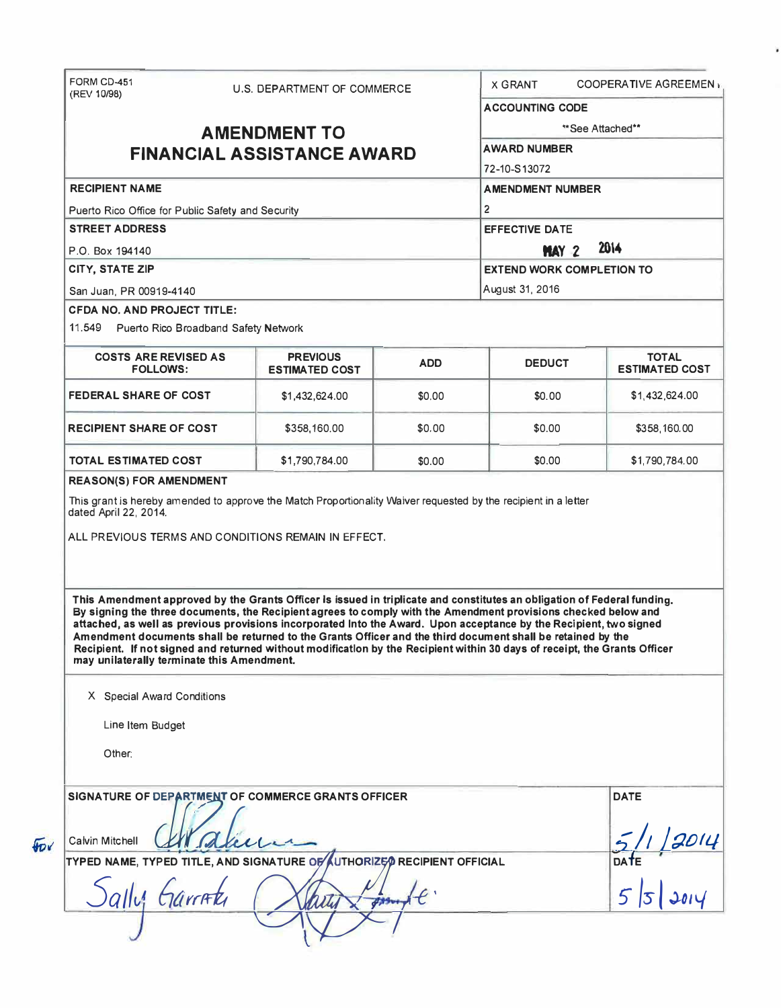| <b>RECIPIENT NAME</b><br>Puerto Rico Office for Public Safety and Security<br><b>STREET ADDRESS</b><br>P.O. Box 194140<br>CITY, STATE ZIP<br>San Juan, PR 00919-4140<br><b>CFDA NO. AND PROJECT TITLE:</b><br>11.549 Puerto Rico Broadband Safety Network<br><b>COSTS ARE REVISED AS</b><br><b>FOLLOWS:</b> | <b>AMENDMENT TO</b><br><b>FINANCIAL ASSISTANCE AWARD</b>                                                                                                                                                                                                                                                                                                                                                                                                                                                                                                                                                    |            | <b>ACCOUNTING CODE</b><br><b>AWARD NUMBER</b><br>72-10-S13072<br><b>AMENDMENT NUMBER</b><br>$\overline{2}$<br><b>EFFECTIVE DATE</b> | **See Attached**                      |  |  |
|-------------------------------------------------------------------------------------------------------------------------------------------------------------------------------------------------------------------------------------------------------------------------------------------------------------|-------------------------------------------------------------------------------------------------------------------------------------------------------------------------------------------------------------------------------------------------------------------------------------------------------------------------------------------------------------------------------------------------------------------------------------------------------------------------------------------------------------------------------------------------------------------------------------------------------------|------------|-------------------------------------------------------------------------------------------------------------------------------------|---------------------------------------|--|--|
|                                                                                                                                                                                                                                                                                                             |                                                                                                                                                                                                                                                                                                                                                                                                                                                                                                                                                                                                             |            |                                                                                                                                     |                                       |  |  |
|                                                                                                                                                                                                                                                                                                             |                                                                                                                                                                                                                                                                                                                                                                                                                                                                                                                                                                                                             |            |                                                                                                                                     |                                       |  |  |
|                                                                                                                                                                                                                                                                                                             |                                                                                                                                                                                                                                                                                                                                                                                                                                                                                                                                                                                                             |            |                                                                                                                                     |                                       |  |  |
|                                                                                                                                                                                                                                                                                                             |                                                                                                                                                                                                                                                                                                                                                                                                                                                                                                                                                                                                             |            |                                                                                                                                     |                                       |  |  |
|                                                                                                                                                                                                                                                                                                             |                                                                                                                                                                                                                                                                                                                                                                                                                                                                                                                                                                                                             |            |                                                                                                                                     |                                       |  |  |
|                                                                                                                                                                                                                                                                                                             |                                                                                                                                                                                                                                                                                                                                                                                                                                                                                                                                                                                                             |            |                                                                                                                                     |                                       |  |  |
|                                                                                                                                                                                                                                                                                                             |                                                                                                                                                                                                                                                                                                                                                                                                                                                                                                                                                                                                             |            | 2014<br><b>MAY 2</b>                                                                                                                |                                       |  |  |
|                                                                                                                                                                                                                                                                                                             |                                                                                                                                                                                                                                                                                                                                                                                                                                                                                                                                                                                                             |            |                                                                                                                                     |                                       |  |  |
|                                                                                                                                                                                                                                                                                                             |                                                                                                                                                                                                                                                                                                                                                                                                                                                                                                                                                                                                             |            | <b>EXTEND WORK COMPLETION TO</b>                                                                                                    |                                       |  |  |
|                                                                                                                                                                                                                                                                                                             |                                                                                                                                                                                                                                                                                                                                                                                                                                                                                                                                                                                                             |            | August 31, 2016                                                                                                                     |                                       |  |  |
|                                                                                                                                                                                                                                                                                                             |                                                                                                                                                                                                                                                                                                                                                                                                                                                                                                                                                                                                             |            |                                                                                                                                     |                                       |  |  |
|                                                                                                                                                                                                                                                                                                             | <b>PREVIOUS</b><br><b>ESTIMATED COST</b>                                                                                                                                                                                                                                                                                                                                                                                                                                                                                                                                                                    | <b>ADD</b> | <b>DEDUCT</b>                                                                                                                       | <b>TOTAL</b><br><b>ESTIMATED COST</b> |  |  |
| <b>FEDERAL SHARE OF COST</b>                                                                                                                                                                                                                                                                                | \$1,432,624.00                                                                                                                                                                                                                                                                                                                                                                                                                                                                                                                                                                                              | \$0,00     | \$0.00                                                                                                                              | \$1,432,624.00                        |  |  |
| <b>RECIPIENT SHARE OF COST</b>                                                                                                                                                                                                                                                                              | \$358,160.00                                                                                                                                                                                                                                                                                                                                                                                                                                                                                                                                                                                                | \$0.00     | \$0.00                                                                                                                              | \$358,160.00                          |  |  |
| TOTAL ESTIMATED COST                                                                                                                                                                                                                                                                                        | \$1,790,784.00                                                                                                                                                                                                                                                                                                                                                                                                                                                                                                                                                                                              | \$0.00     | \$0.00                                                                                                                              | \$1,790,784.00                        |  |  |
| may unilaterally terminate this Amendment.                                                                                                                                                                                                                                                                  | This Amendment approved by the Grants Officer Is issued in triplicate and constitutes an obligation of Federal funding.<br>By signing the three documents, the Recipient agrees to comply with the Amendment provisions checked below and<br>attached, as well as previous provisions incorporated Into the Award. Upon acceptance by the Recipient, two signed<br>Amendment documents shall be returned to the Grants Officer and the third document shall be retained by the<br>Recipient. If not signed and returned without modification by the Recipient within 30 days of receipt, the Grants Officer |            |                                                                                                                                     |                                       |  |  |
| X Special Award Conditions                                                                                                                                                                                                                                                                                  |                                                                                                                                                                                                                                                                                                                                                                                                                                                                                                                                                                                                             |            |                                                                                                                                     |                                       |  |  |
| Line Item Budget                                                                                                                                                                                                                                                                                            |                                                                                                                                                                                                                                                                                                                                                                                                                                                                                                                                                                                                             |            |                                                                                                                                     |                                       |  |  |
| Other:                                                                                                                                                                                                                                                                                                      |                                                                                                                                                                                                                                                                                                                                                                                                                                                                                                                                                                                                             |            |                                                                                                                                     |                                       |  |  |
|                                                                                                                                                                                                                                                                                                             | SIGNATURE OF DEPARTMENT OF COMMERCE GRANTS OFFICER                                                                                                                                                                                                                                                                                                                                                                                                                                                                                                                                                          |            |                                                                                                                                     | <b>DATE</b><br>$5/1/2014$<br>DATE     |  |  |
|                                                                                                                                                                                                                                                                                                             |                                                                                                                                                                                                                                                                                                                                                                                                                                                                                                                                                                                                             |            |                                                                                                                                     |                                       |  |  |
| Calvin Mitchell                                                                                                                                                                                                                                                                                             | TYPED NAME, TYPED TITLE, AND SIGNATURE OF AUTHORIZE OR RECIPIENT OFFICIAL                                                                                                                                                                                                                                                                                                                                                                                                                                                                                                                                   |            |                                                                                                                                     |                                       |  |  |